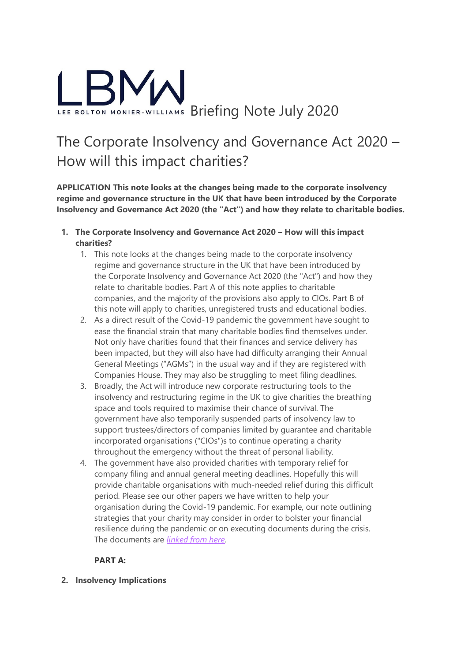

# The Corporate Insolvency and Governance Act 2020 – How will this impact charities?

**APPLICATION This note looks at the changes being made to the corporate insolvency regime and governance structure in the UK that have been introduced by the Corporate Insolvency and Governance Act 2020 (the "Act") and how they relate to charitable bodies.**

- **1. The Corporate Insolvency and Governance Act 2020 – How will this impact charities?**
	- 1. This note looks at the changes being made to the corporate insolvency regime and governance structure in the UK that have been introduced by the Corporate Insolvency and Governance Act 2020 (the "Act") and how they relate to charitable bodies. Part A of this note applies to charitable companies, and the majority of the provisions also apply to CIOs. Part B of this note will apply to charities, unregistered trusts and educational bodies.
	- 2. As a direct result of the Covid-19 pandemic the government have sought to ease the financial strain that many charitable bodies find themselves under. Not only have charities found that their finances and service delivery has been impacted, but they will also have had difficulty arranging their Annual General Meetings ("AGMs") in the usual way and if they are registered with Companies House. They may also be struggling to meet filing deadlines.
	- 3. Broadly, the Act will introduce new corporate restructuring tools to the insolvency and restructuring regime in the UK to give charities the breathing space and tools required to maximise their chance of survival. The government have also temporarily suspended parts of insolvency law to support trustees/directors of companies limited by guarantee and charitable incorporated organisations ("CIOs")s to continue operating a charity throughout the emergency without the threat of personal liability.
	- 4. The government have also provided charities with temporary relief for company filing and annual general meeting deadlines. Hopefully this will provide charitable organisations with much-needed relief during this difficult period. Please see our other papers we have written to help your organisation during the Covid-19 pandemic. For example, our note outlining strategies that your charity may consider in order to bolster your financial resilience during the pandemic or on executing documents during the crisis. The documents are *[linked from here](https://www.educationanswers.co.uk/wp-content/uploads/2020/04/LBMW-Coronvirus-Advice-Papers.pdf)*.

## **PART A:**

**2. Insolvency Implications**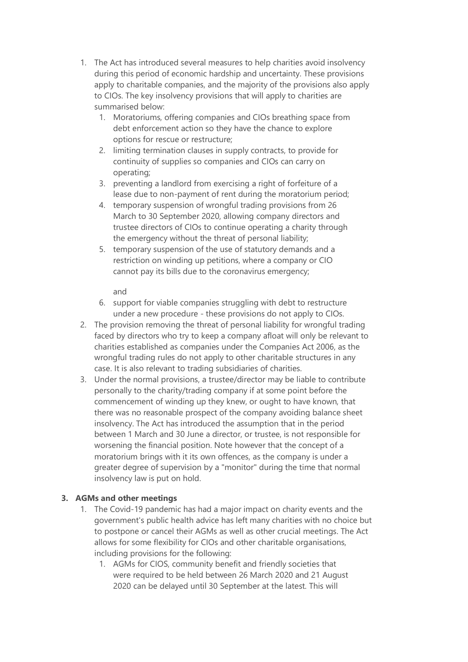- 1. The Act has introduced several measures to help charities avoid insolvency during this period of economic hardship and uncertainty. These provisions apply to charitable companies, and the majority of the provisions also apply to CIOs. The key insolvency provisions that will apply to charities are summarised below:
	- 1. Moratoriums, offering companies and CIOs breathing space from debt enforcement action so they have the chance to explore options for rescue or restructure;
	- 2. limiting termination clauses in supply contracts, to provide for continuity of supplies so companies and CIOs can carry on operating;
	- 3. preventing a landlord from exercising a right of forfeiture of a lease due to non-payment of rent during the moratorium period;
	- 4. temporary suspension of wrongful trading provisions from 26 March to 30 September 2020, allowing company directors and trustee directors of CIOs to continue operating a charity through the emergency without the threat of personal liability;
	- 5. temporary suspension of the use of statutory demands and a restriction on winding up petitions, where a company or CIO cannot pay its bills due to the coronavirus emergency;

#### and

- 6. support for viable companies struggling with debt to restructure under a new procedure - these provisions do not apply to CIOs.
- 2. The provision removing the threat of personal liability for wrongful trading faced by directors who try to keep a company afloat will only be relevant to charities established as companies under the Companies Act 2006, as the wrongful trading rules do not apply to other charitable structures in any case. It is also relevant to trading subsidiaries of charities.
- 3. Under the normal provisions, a trustee/director may be liable to contribute personally to the charity/trading company if at some point before the commencement of winding up they knew, or ought to have known, that there was no reasonable prospect of the company avoiding balance sheet insolvency. The Act has introduced the assumption that in the period between 1 March and 30 June a director, or trustee, is not responsible for worsening the financial position. Note however that the concept of a moratorium brings with it its own offences, as the company is under a greater degree of supervision by a "monitor" during the time that normal insolvency law is put on hold.

## **3. AGMs and other meetings**

- 1. The Covid-19 pandemic has had a major impact on charity events and the government's public health advice has left many charities with no choice but to postpone or cancel their AGMs as well as other crucial meetings. The Act allows for some flexibility for CIOs and other charitable organisations, including provisions for the following:
	- 1. AGMs for CIOS, community benefit and friendly societies that were required to be held between 26 March 2020 and 21 August 2020 can be delayed until 30 September at the latest. This will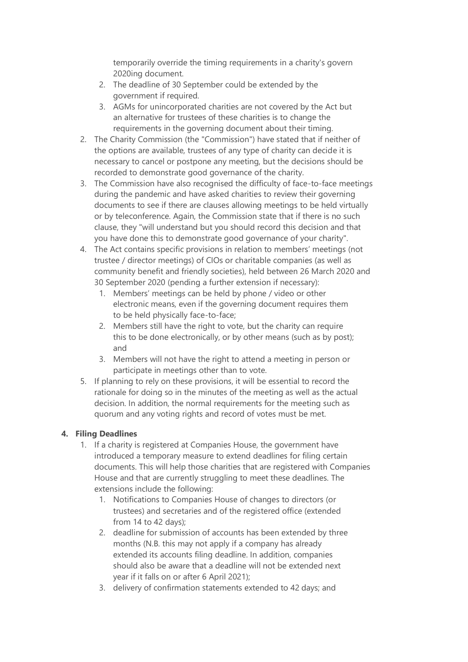temporarily override the timing requirements in a charity's govern 2020ing document.

- 2. The deadline of 30 September could be extended by the government if required.
- 3. AGMs for unincorporated charities are not covered by the Act but an alternative for trustees of these charities is to change the requirements in the governing document about their timing.
- 2. The Charity Commission (the "Commission") have stated that if neither of the options are available, trustees of any type of charity can decide it is necessary to cancel or postpone any meeting, but the decisions should be recorded to demonstrate good governance of the charity.
- 3. The Commission have also recognised the difficulty of face-to-face meetings during the pandemic and have asked charities to review their governing documents to see if there are clauses allowing meetings to be held virtually or by teleconference. Again, the Commission state that if there is no such clause, they "will understand but you should record this decision and that you have done this to demonstrate good governance of your charity".
- 4. The Act contains specific provisions in relation to members' meetings (not trustee / director meetings) of CIOs or charitable companies (as well as community benefit and friendly societies), held between 26 March 2020 and 30 September 2020 (pending a further extension if necessary):
	- 1. Members' meetings can be held by phone / video or other electronic means, even if the governing document requires them to be held physically face-to-face;
	- 2. Members still have the right to vote, but the charity can require this to be done electronically, or by other means (such as by post); and
	- 3. Members will not have the right to attend a meeting in person or participate in meetings other than to vote.
- 5. If planning to rely on these provisions, it will be essential to record the rationale for doing so in the minutes of the meeting as well as the actual decision. In addition, the normal requirements for the meeting such as quorum and any voting rights and record of votes must be met.

## **4. Filing Deadlines**

- 1. If a charity is registered at Companies House, the government have introduced a temporary measure to extend deadlines for filing certain documents. This will help those charities that are registered with Companies House and that are currently struggling to meet these deadlines. The extensions include the following:
	- 1. Notifications to Companies House of changes to directors (or trustees) and secretaries and of the registered office (extended from 14 to 42 days);
	- 2. deadline for submission of accounts has been extended by three months (N.B. this may not apply if a company has already extended its accounts filing deadline. In addition, companies should also be aware that a deadline will not be extended next year if it falls on or after 6 April 2021);
	- 3. delivery of confirmation statements extended to 42 days; and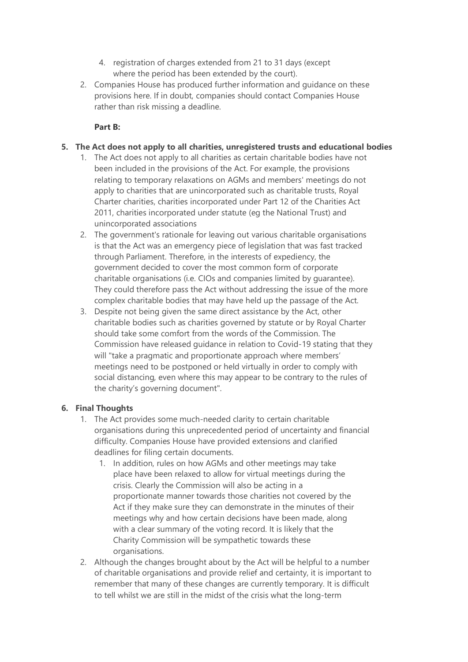- 4. registration of charges extended from 21 to 31 days (except where the period has been extended by the court).
- 2. Companies House has produced further information and guidance on these provisions here. If in doubt, companies should contact Companies House rather than risk missing a deadline.

#### **Part B:**

#### **5. The Act does not apply to all charities, unregistered trusts and educational bodies**

- 1. The Act does not apply to all charities as certain charitable bodies have not been included in the provisions of the Act. For example, the provisions relating to temporary relaxations on AGMs and members' meetings do not apply to charities that are unincorporated such as charitable trusts, Royal Charter charities, charities incorporated under Part 12 of the Charities Act 2011, charities incorporated under statute (eg the National Trust) and unincorporated associations
- 2. The government's rationale for leaving out various charitable organisations is that the Act was an emergency piece of legislation that was fast tracked through Parliament. Therefore, in the interests of expediency, the government decided to cover the most common form of corporate charitable organisations (i.e. CIOs and companies limited by guarantee). They could therefore pass the Act without addressing the issue of the more complex charitable bodies that may have held up the passage of the Act.
- 3. Despite not being given the same direct assistance by the Act, other charitable bodies such as charities governed by statute or by Royal Charter should take some comfort from the words of the Commission. The Commission have released guidance in relation to Covid-19 stating that they will "take a pragmatic and proportionate approach where members' meetings need to be postponed or held virtually in order to comply with social distancing, even where this may appear to be contrary to the rules of the charity's governing document".

#### **6. Final Thoughts**

- 1. The Act provides some much-needed clarity to certain charitable organisations during this unprecedented period of uncertainty and financial difficulty. Companies House have provided extensions and clarified deadlines for filing certain documents.
	- 1. In addition, rules on how AGMs and other meetings may take place have been relaxed to allow for virtual meetings during the crisis. Clearly the Commission will also be acting in a proportionate manner towards those charities not covered by the Act if they make sure they can demonstrate in the minutes of their meetings why and how certain decisions have been made, along with a clear summary of the voting record. It is likely that the Charity Commission will be sympathetic towards these organisations.
- 2. Although the changes brought about by the Act will be helpful to a number of charitable organisations and provide relief and certainty, it is important to remember that many of these changes are currently temporary. It is difficult to tell whilst we are still in the midst of the crisis what the long-term